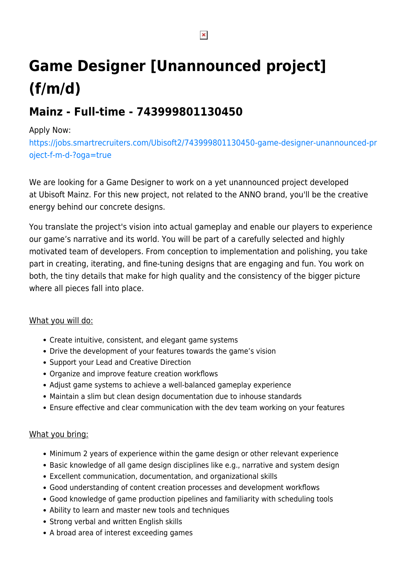# **Game Designer [Unannounced project] (f/m/d)**

## **Mainz - Full-time - 743999801130450**

#### Apply Now:

[https://jobs.smartrecruiters.com/Ubisoft2/743999801130450-game-designer-unannounced-pr](https://jobs.smartrecruiters.com/Ubisoft2/743999801130450-game-designer-unannounced-project-f-m-d-?oga=true) [oject-f-m-d-?oga=true](https://jobs.smartrecruiters.com/Ubisoft2/743999801130450-game-designer-unannounced-project-f-m-d-?oga=true)

We are looking for a Game Designer to work on a yet unannounced project developed at Ubisoft Mainz. For this new project, not related to the ANNO brand, you'll be the creative energy behind our concrete designs.

You translate the project's vision into actual gameplay and enable our players to experience our game's narrative and its world. You will be part of a carefully selected and highly motivated team of developers. From conception to implementation and polishing, you take part in creating, iterating, and fine-tuning designs that are engaging and fun. You work on both, the tiny details that make for high quality and the consistency of the bigger picture where all pieces fall into place.

#### What you will do:

- Create intuitive, consistent, and elegant game systems
- Drive the development of your features towards the game's vision
- Support your Lead and Creative Direction
- Organize and improve feature creation workflows
- Adjust game systems to achieve a well-balanced gameplay experience
- Maintain a slim but clean design documentation due to inhouse standards
- Ensure effective and clear communication with the dev team working on your features

### What you bring:

- Minimum 2 years of experience within the game design or other relevant experience
- Basic knowledge of all game design disciplines like e.g., narrative and system design
- Excellent communication, documentation, and organizational skills
- Good understanding of content creation processes and development workflows
- Good knowledge of game production pipelines and familiarity with scheduling tools
- Ability to learn and master new tools and techniques
- Strong verbal and written English skills
- A broad area of interest exceeding games

 $\pmb{\times}$